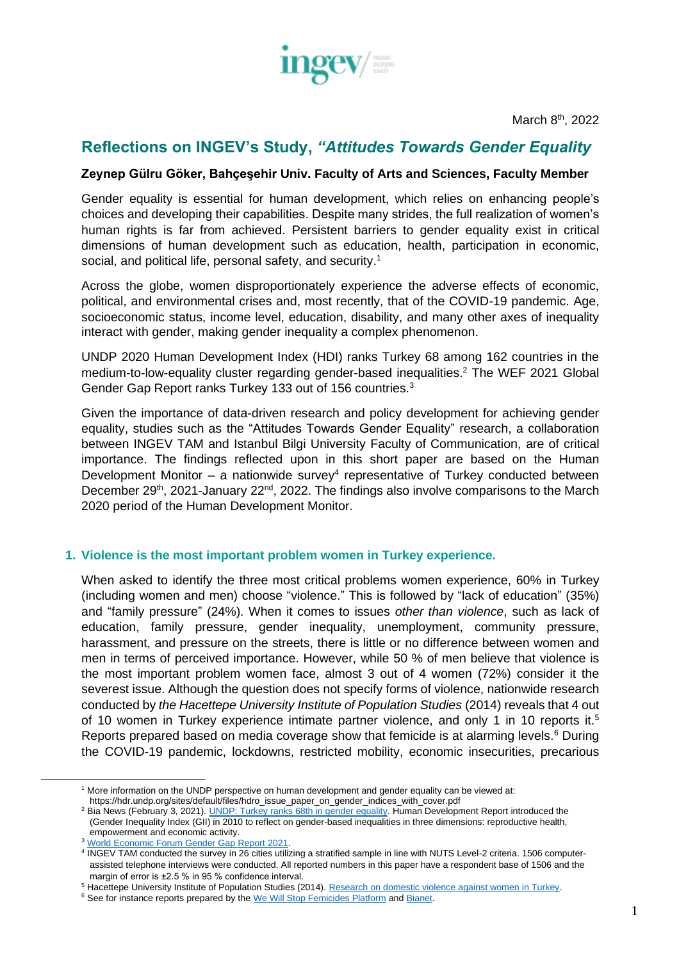

March 8<sup>th</sup>, 2022

# **Reflections on INGEV's Study,** *"Attitudes Towards Gender Equality*

### **Zeynep Gülru Göker, Bahçeşehir Univ. Faculty of Arts and Sciences, Faculty Member**

Gender equality is essential for human development, which relies on enhancing people's choices and developing their capabilities. Despite many strides, the full realization of women's human rights is far from achieved. Persistent barriers to gender equality exist in critical dimensions of human development such as education, health, participation in economic, social, and political life, personal safety, and security.<sup>1</sup>

Across the globe, women disproportionately experience the adverse effects of economic, political, and environmental crises and, most recently, that of the COVID-19 pandemic. Age, socioeconomic status, income level, education, disability, and many other axes of inequality interact with gender, making gender inequality a complex phenomenon.

UNDP 2020 Human Development Index (HDI) ranks Turkey 68 among 162 countries in the medium-to-low-equality cluster regarding gender-based inequalities.<sup>2</sup> The WEF 2021 Global Gender Gap Report ranks Turkey 133 out of 156 countries.<sup>3</sup>

Given the importance of data-driven research and policy development for achieving gender equality, studies such as the "Attitudes Towards Gender Equality" research, a collaboration between INGEV TAM and Istanbul Bilgi University Faculty of Communication, are of critical importance. The findings reflected upon in this short paper are based on the Human Development Monitor  $-$  a nationwide survey<sup>4</sup> representative of Turkey conducted between December 29<sup>th</sup>, 2021-January 22<sup>nd</sup>, 2022. The findings also involve comparisons to the March 2020 period of the Human Development Monitor.

#### **1. Violence is the most important problem women in Turkey experience.**

When asked to identify the three most critical problems women experience, 60% in Turkey (including women and men) choose "violence." This is followed by "lack of education" (35%) and "family pressure" (24%). When it comes to issues *other than violence*, such as lack of education, family pressure, gender inequality, unemployment, community pressure, harassment, and pressure on the streets, there is little or no difference between women and men in terms of perceived importance. However, while 50 % of men believe that violence is the most important problem women face, almost 3 out of 4 women (72%) consider it the severest issue. Although the question does not specify forms of violence, nationwide research conducted by *the Hacettepe University Institute of Population Studies* (2014) reveals that 4 out of 10 women in Turkey experience intimate partner violence, and only 1 in 10 reports it.<sup>5</sup> Reports prepared based on media coverage show that femicide is at alarming levels.<sup>6</sup> During the COVID-19 pandemic, lockdowns, restricted mobility, economic insecurities, precarious

<sup>1</sup> More information on the UNDP perspective on human development and gender equality can be viewed at:

https://hdr.undp.org/sites/default/files/hdro\_issue\_paper\_on\_gender\_indices\_with\_cover.pdf

<sup>&</sup>lt;sup>2</sup> Bia News (February 3, 2021). [UNDP: Turkey ranks 68th in gender equality.](https://bianet.org/english/gender/238628-undp-turkey-ranks-68th-in-gender-equality) Human Development Report introduced the (Gender Inequality Index (GII) in 2010 to reflect on gender-based inequalities in three dimensions: reproductive health, empowerment and economic activity.

<sup>3</sup> [World Economic Forum Gender Gap Report 2021.](https://www3.weforum.org/docs/WEF_GGGR_2021.pdf)

<sup>4</sup> INGEV TAM conducted the survey in 26 cities utilizing a stratified sample in line with NUTS Level-2 criteria. 1506 computerassisted telephone interviews were conducted. All reported numbers in this paper have a respondent base of 1506 and the margin of error is ±2.5 % in 95 % confidence interval.

<sup>&</sup>lt;sup>5</sup> Hacettepe University Institute of Population Studies (2014). Research on domestic violence against women in Turkey.

<sup>&</sup>lt;sup>6</sup> See for instance reports prepared by the [We Will Stop Femicides Platform](http://kadincinayetlerinidurduracagiz.net/kategori/veriler) and [Bianet.](https://bianet.org/kadin/bianet/133354-bianet-siddet-taciz-tecavuz-cetelesi-tutuyor)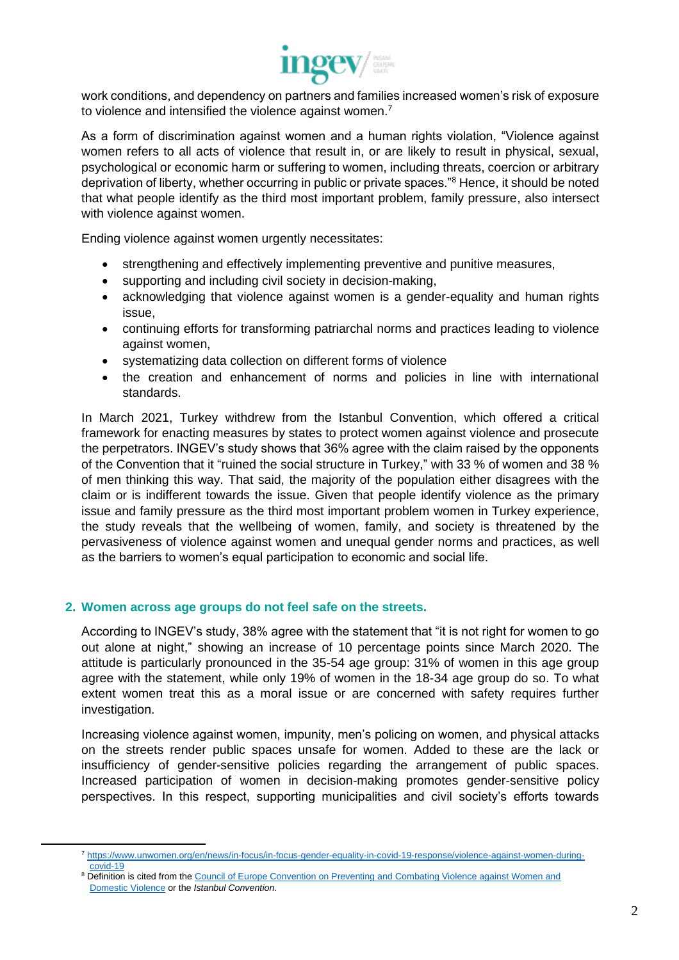

work conditions, and dependency on partners and families increased women's risk of exposure to violence and intensified the violence against women.<sup>7</sup>

As a form of discrimination against women and a human rights violation, "Violence against women refers to all acts of violence that result in, or are likely to result in physical, sexual, psychological or economic harm or suffering to women, including threats, coercion or arbitrary deprivation of liberty, whether occurring in public or private spaces."<sup>8</sup> Hence, it should be noted that what people identify as the third most important problem, family pressure, also intersect with violence against women.

Ending violence against women urgently necessitates:

- strengthening and effectively implementing preventive and punitive measures,
- supporting and including civil society in decision-making,
- acknowledging that violence against women is a gender-equality and human rights issue,
- continuing efforts for transforming patriarchal norms and practices leading to violence against women,
- systematizing data collection on different forms of violence
- the creation and enhancement of norms and policies in line with international standards.

In March 2021, Turkey withdrew from the Istanbul Convention, which offered a critical framework for enacting measures by states to protect women against violence and prosecute the perpetrators. INGEV's study shows that 36% agree with the claim raised by the opponents of the Convention that it "ruined the social structure in Turkey," with 33 % of women and 38 % of men thinking this way. That said, the majority of the population either disagrees with the claim or is indifferent towards the issue. Given that people identify violence as the primary issue and family pressure as the third most important problem women in Turkey experience, the study reveals that the wellbeing of women, family, and society is threatened by the pervasiveness of violence against women and unequal gender norms and practices, as well as the barriers to women's equal participation to economic and social life.

## **2. Women across age groups do not feel safe on the streets.**

According to INGEV's study, 38% agree with the statement that "it is not right for women to go out alone at night," showing an increase of 10 percentage points since March 2020. The attitude is particularly pronounced in the 35-54 age group: 31% of women in this age group agree with the statement, while only 19% of women in the 18-34 age group do so. To what extent women treat this as a moral issue or are concerned with safety requires further investigation.

Increasing violence against women, impunity, men's policing on women, and physical attacks on the streets render public spaces unsafe for women. Added to these are the lack or insufficiency of gender-sensitive policies regarding the arrangement of public spaces. Increased participation of women in decision-making promotes gender-sensitive policy perspectives. In this respect, supporting municipalities and civil society's efforts towards

<sup>7</sup> [https://www.unwomen.org/en/news/in-focus/in-focus-gender-equality-in-covid-19-response/violence-against-women-during](https://www.unwomen.org/en/news/in-focus/in-focus-gender-equality-in-covid-19-response/violence-against-women-during-covid-19)[covid-19](https://www.unwomen.org/en/news/in-focus/in-focus-gender-equality-in-covid-19-response/violence-against-women-during-covid-19)

<sup>&</sup>lt;sup>8</sup> Definition is cited from the Council of Europe Convention on Preventing and Combating Violence against Women and [Domestic Violence](https://www.coe.int/en/web/gender-matters/council-of-europe-convention-on-preventing-and-combating-violence-against-women-and-domestic-violence) or the *Istanbul Convention.*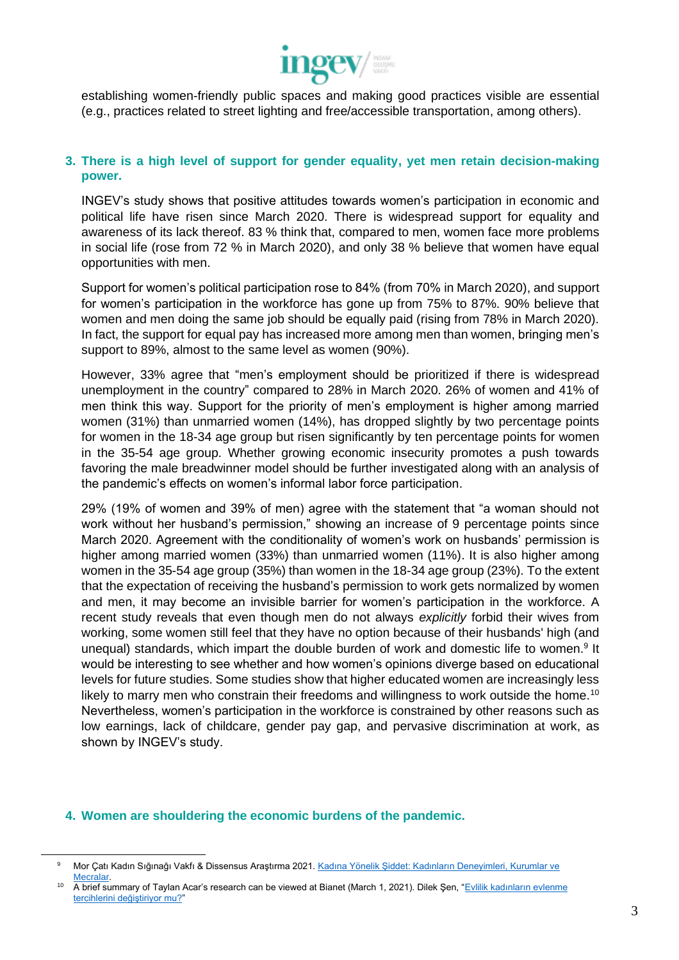

establishing women-friendly public spaces and making good practices visible are essential (e.g., practices related to street lighting and free/accessible transportation, among others).

## **3. There is a high level of support for gender equality, yet men retain decision-making power.**

INGEV's study shows that positive attitudes towards women's participation in economic and political life have risen since March 2020. There is widespread support for equality and awareness of its lack thereof. 83 % think that, compared to men, women face more problems in social life (rose from 72 % in March 2020), and only 38 % believe that women have equal opportunities with men.

Support for women's political participation rose to 84% (from 70% in March 2020), and support for women's participation in the workforce has gone up from 75% to 87%. 90% believe that women and men doing the same job should be equally paid (rising from 78% in March 2020). In fact, the support for equal pay has increased more among men than women, bringing men's support to 89%, almost to the same level as women (90%).

However, 33% agree that "men's employment should be prioritized if there is widespread unemployment in the country" compared to 28% in March 2020. 26% of women and 41% of men think this way. Support for the priority of men's employment is higher among married women (31%) than unmarried women (14%), has dropped slightly by two percentage points for women in the 18-34 age group but risen significantly by ten percentage points for women in the 35-54 age group. Whether growing economic insecurity promotes a push towards favoring the male breadwinner model should be further investigated along with an analysis of the pandemic's effects on women's informal labor force participation.

29% (19% of women and 39% of men) agree with the statement that "a woman should not work without her husband's permission," showing an increase of 9 percentage points since March 2020. Agreement with the conditionality of women's work on husbands' permission is higher among married women (33%) than unmarried women (11%). It is also higher among women in the 35-54 age group (35%) than women in the 18-34 age group (23%). To the extent that the expectation of receiving the husband's permission to work gets normalized by women and men, it may become an invisible barrier for women's participation in the workforce. A recent study reveals that even though men do not always *explicitly* forbid their wives from working, some women still feel that they have no option because of their husbands' high (and unequal) standards, which impart the double burden of work and domestic life to women.<sup>9</sup> It would be interesting to see whether and how women's opinions diverge based on educational levels for future studies. Some studies show that higher educated women are increasingly less likely to marry men who constrain their freedoms and willingness to work outside the home.<sup>10</sup> Nevertheless, women's participation in the workforce is constrained by other reasons such as low earnings, lack of childcare, gender pay gap, and pervasive discrimination at work, as shown by INGEV's study.

#### **4. Women are shouldering the economic burdens of the pandemic.**

Mor Çatı Kadın Sığınağı Vakfı & Dissensus Araştırma 2021. Kadına Yönelik Şiddet: Kadınların Deneyimleri, Kurumlar ve [Mecralar.](https://morcati.org.tr/wp-content/uploads/2021/09/MorCati_Dissensus-6.pdf) 

<sup>&</sup>lt;sup>10</sup> A brief summary of Taylan Acar's research can be viewed at Bianet (March 1, 2021). Dilek Şen, "Evlilik kadınların evlenme [tercihlerini değiştiriyor mu?"](Eğitim%20kadınların%20evlenme%20davranışlarını%20değiştiriyor%20mu%3F)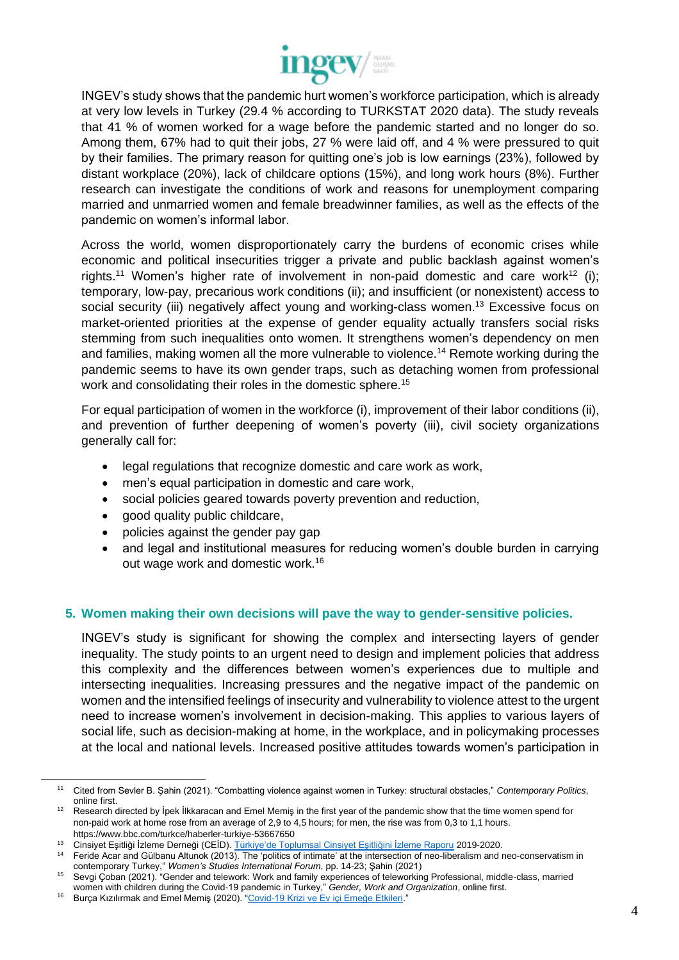

INGEV's study shows that the pandemic hurt women's workforce participation, which is already at very low levels in Turkey (29.4 % according to TURKSTAT 2020 data). The study reveals that 41 % of women worked for a wage before the pandemic started and no longer do so. Among them, 67% had to quit their jobs, 27 % were laid off, and 4 % were pressured to quit by their families. The primary reason for quitting one's job is low earnings (23%), followed by distant workplace (20%), lack of childcare options (15%), and long work hours (8%). Further research can investigate the conditions of work and reasons for unemployment comparing married and unmarried women and female breadwinner families, as well as the effects of the pandemic on women's informal labor.

Across the world, women disproportionately carry the burdens of economic crises while economic and political insecurities trigger a private and public backlash against women's rights.<sup>11</sup> Women's higher rate of involvement in non-paid domestic and care work<sup>12</sup> (i); temporary, low-pay, precarious work conditions (ii); and insufficient (or nonexistent) access to social security (iii) negatively affect young and working-class women.<sup>13</sup> Excessive focus on market-oriented priorities at the expense of gender equality actually transfers social risks stemming from such inequalities onto women. It strengthens women's dependency on men and families, making women all the more vulnerable to violence.<sup>14</sup> Remote working during the pandemic seems to have its own gender traps, such as detaching women from professional work and consolidating their roles in the domestic sphere.<sup>15</sup>

For equal participation of women in the workforce (i), improvement of their labor conditions (ii), and prevention of further deepening of women's poverty (iii), civil society organizations generally call for:

- legal regulations that recognize domestic and care work as work,
- men's equal participation in domestic and care work,
- social policies geared towards poverty prevention and reduction,
- good quality public childcare,
- policies against the gender pay gap
- and legal and institutional measures for reducing women's double burden in carrying out wage work and domestic work.<sup>16</sup>

## **5. Women making their own decisions will pave the way to gender-sensitive policies.**

INGEV's study is significant for showing the complex and intersecting layers of gender inequality. The study points to an urgent need to design and implement policies that address this complexity and the differences between women's experiences due to multiple and intersecting inequalities. Increasing pressures and the negative impact of the pandemic on women and the intensified feelings of insecurity and vulnerability to violence attest to the urgent need to increase women's involvement in decision-making. This applies to various layers of social life, such as decision-making at home, in the workplace, and in policymaking processes at the local and national levels. Increased positive attitudes towards women's participation in

<sup>11</sup> Cited from Sevler B. Şahin (2021). "Combatting violence against women in Turkey: structural obstacles," *Contemporary Politics*, online first.

<sup>&</sup>lt;sup>12</sup> Research directed by İpek İlkkaracan and Emel Memiş in the first year of the pandemic show that the time women spend for non-paid work at home rose from an average of 2,9 to 4,5 hours; for men, the rise was from 0,3 to 1,1 hours. https://www.bbc.com/turkce/haberler-turkiye-53667650

<sup>&</sup>lt;sup>13</sup> Cinsiyet Eşitliği İzleme Derneği (CEİD). <u>Türkiye'de Toplumsal Cinsiyet Eşitliğini İzleme Raporu</u> 2019-2020.

<sup>&</sup>lt;sup>14</sup> Feride Acar and Gülbanu Altunok (2013). The 'politics of intimate' at the intersection of neo-liberalism and neo-conservatism in contemporary Turkey," *Women's Studies International Forum*, pp. 14-23; Şahin (2021)

<sup>15</sup> Sevgi Çoban (2021). "Gender and telework: Work and family experiences of teleworking Professional, middle-class, married women with children during the Covid-19 pandemic in Turkey," *Gender, Work and Organization*, online first.

<sup>&</sup>lt;sup>16</sup> Burça Kızılırmak and Emel Memiş (2020). ["Covid-19 Krizi ve Ev içi Emeğe Etkileri.](http://www.keig.org/covid-19-krizi-ve-ev-ici-emege-etkileri/)"